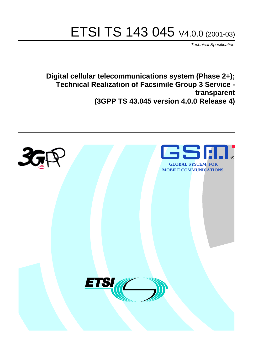# ETSI TS 143 045 V4.0.0 (2001-03)

Technical Specification

**Digital cellular telecommunications system (Phase 2+); Technical Realization of Facsimile Group 3 Service transparent (3GPP TS 43.045 version 4.0.0 Release 4)**

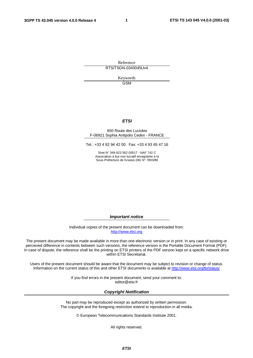**1**

Reference RTS/TSGN-0343045Uv4

> Keywords GSM

### **ETSI**

### 650 Route des Lucioles F-06921 Sophia Antipolis Cedex - FRANCE

Tel.: +33 4 92 94 42 00 Fax: +33 4 93 65 47 16

Siret N° 348 623 562 00017 - NAF 742 C Association à but non lucratif enregistrée à la Sous-Préfecture de Grasse (06) N° 7803/88

**Important notice**

Individual copies of the present document can be downloaded from: [http://www.etsi.org](http://www.etsi.org/)

The present document may be made available in more than one electronic version or in print. In any case of existing or perceived difference in contents between such versions, the reference version is the Portable Document Format (PDF). In case of dispute, the reference shall be the printing on ETSI printers of the PDF version kept on a specific network drive within ETSI Secretariat.

Users of the present document should be aware that the document may be subject to revision or change of status. Information on the current status of this and other ETSI documents is available at <http://www.etsi.org/tb/status>/

> If you find errors in the present document, send your comment to: <editor@etsi.fr>

### **Copyright Notification**

No part may be reproduced except as authorized by written permission. The copyright and the foregoing restriction extend to reproduction in all media.

© European Telecommunications Standards Institute 2001.

All rights reserved.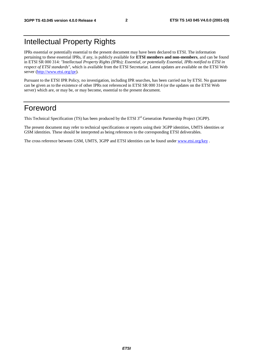## Intellectual Property Rights

IPRs essential or potentially essential to the present document may have been declared to ETSI. The information pertaining to these essential IPRs, if any, is publicly available for **ETSI members and non-members**, and can be found in ETSI SR 000 314: *"Intellectual Property Rights (IPRs); Essential, or potentially Essential, IPRs notified to ETSI in respect of ETSI standards"*, which is available from the ETSI Secretariat. Latest updates are available on the ETSI Web server [\(http://www.etsi.org/ipr\)](http://www.etsi.org/ipr).

Pursuant to the ETSI IPR Policy, no investigation, including IPR searches, has been carried out by ETSI. No guarantee can be given as to the existence of other IPRs not referenced in ETSI SR 000 314 (or the updates on the ETSI Web server) which are, or may be, or may become, essential to the present document.

## Foreword

This Technical Specification (TS) has been produced by the ETSI 3<sup>rd</sup> Generation Partnership Project (3GPP).

The present document may refer to technical specifications or reports using their 3GPP identities, UMTS identities or GSM identities. These should be interpreted as being references to the corresponding ETSI deliverables.

The cross reference between GSM, UMTS, 3GPP and ETSI identities can be found under [www.etsi.org/key](http://www.etsi.org/key) .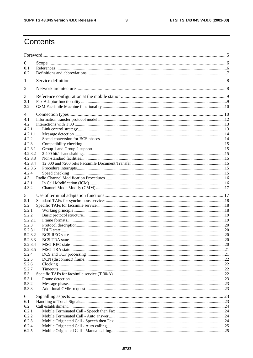$\mathbf{3}$ 

## Contents

| $\boldsymbol{0}$ |  |
|------------------|--|
| 0.1              |  |
| 0.2              |  |
| 1                |  |
| 2                |  |
| 3                |  |
| 3.1              |  |
| 3.2              |  |
| 4                |  |
| 4.1              |  |
| 4.2              |  |
| 4.2.1            |  |
| 4.2.1.1          |  |
| 4.2.2            |  |
| 4.2.3            |  |
| 4.2.3.1          |  |
| 4.2.3.2          |  |
| 4.2.3.3          |  |
| 4.2.3.4          |  |
| 4.2.3.5          |  |
| 4.2.4<br>4.3     |  |
| 4.3.1            |  |
| 4.3.2            |  |
|                  |  |
| 5                |  |
| 5.1              |  |
| 5.2              |  |
| 5.2.1            |  |
| 5.2.2<br>5.2.2.1 |  |
| 5.2.3            |  |
| 5.2.3.1          |  |
| 5.2.3.2          |  |
| 5.2.3.3          |  |
| 5.2.3.4          |  |
| 5.2.3.5          |  |
| 5.2.4            |  |
| 5.2.5            |  |
| 5.2.6            |  |
| 5.2.7            |  |
| 5.3              |  |
| 5.3.1            |  |
| 5.3.2<br>5.3.3   |  |
|                  |  |
| 6                |  |
| 6.1              |  |
| 6.2              |  |
| 6.2.1            |  |
| 6.2.2            |  |
| 6.2.3            |  |
| 6.2.4<br>6.2.5   |  |
|                  |  |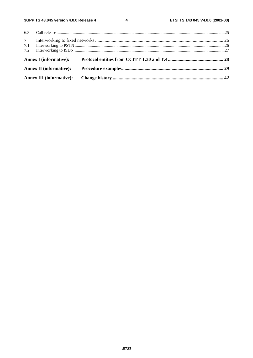$\overline{\mathbf{4}}$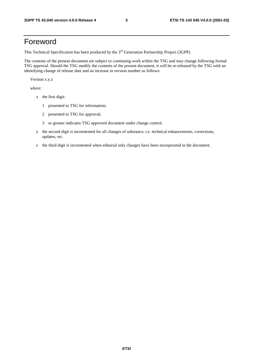## Foreword

This Technical Specification has been produced by the 3<sup>rd</sup> Generation Partnership Project (3GPP).

The contents of the present document are subject to continuing work within the TSG and may change following formal TSG approval. Should the TSG modify the contents of the present document, it will be re-released by the TSG with an identifying change of release date and an increase in version number as follows:

Version x.y.z

where:

- x the first digit:
	- 1 presented to TSG for information;
	- 2 presented to TSG for approval;
	- 3 or greater indicates TSG approved document under change control.
- y the second digit is incremented for all changes of substance, i.e. technical enhancements, corrections, updates, etc.
- z the third digit is incremented when editorial only changes have been incorporated in the document.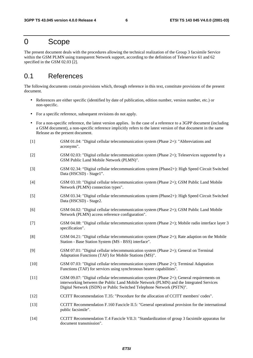## 0 Scope

The present document deals with the procedures allowing the technical realization of the Group 3 facsimile Service within the GSM PLMN using transparent Network support, according to the definition of Teleservice 61 and 62 specified in the GSM 02.03 [2].

## 0.1 References

The following documents contain provisions which, through reference in this text, constitute provisions of the present document.

- References are either specific (identified by date of publication, edition number, version number, etc.) or non-specific.
- For a specific reference, subsequent revisions do not apply.
- For a non-specific reference, the latest version applies. In the case of a reference to a 3GPP document (including a GSM document), a non-specific reference implicitly refers to the latest version of that document in the same Release as the present document.
- [1] GSM 01.04: "Digital cellular telecommunication system (Phase 2+): "Abbreviations and acronyms".
- [2] GSM 02.03: "Digital cellular telecommunication system (Phase 2+); Teleservices supported by a GSM Public Land Mobile Network (PLMN)".
- [3] GSM 02.34: "Digital cellular telecommunications system (Phase2+): High Speed Circuit Switched Data (HSCSD) - Stage1".
- [4] GSM 03.10: "Digital cellular telecommunication system (Phase 2+); GSM Public Land Mobile Network (PLMN) connection types".
- [5] GSM 03.34: "Digital cellular telecommunications system (Phase2+): High Speed Circuit Switched Data (HSCSD) - Stage2.
- [6] GSM 04.02: "Digital cellular telecommunication system (Phase 2+); GSM Public Land Mobile Network (PLMN) access reference configuration".
- [7] GSM 04.08: "Digital cellular telecommunication system (Phase 2+); Mobile radio interface layer 3 specification".
- [8] GSM 04.21: "Digital cellular telecommunication system (Phase 2+); Rate adaption on the Mobile Station - Base Station System (MS - BSS) interface".
- [9] GSM 07.01: "Digital cellular telecommunication system (Phase 2+); General on Terminal Adaptation Functions (TAF) for Mobile Stations (MS)".
- [10] GSM 07.03: "Digital cellular telecommunication system (Phase 2+); Terminal Adaptation Functions (TAF) for services using synchronous bearer capabilities".
- [11] GSM 09.07: "Digital cellular telecommunication system (Phase 2+); General requirements on interworking between the Public Land Mobile Network (PLMN) and the Integrated Services Digital Network (ISDN) or Public Switched Telephone Network (PSTN)".
- [12] CCITT Recommendation T.35: "Procedure for the allocation of CCITT members' codes".
- [13] CCITT Recommendation F.160 Fascicle II.5: "General operational provision for the international public facsimile".
- [14] CCITT Recommendation T.4 Fascicle VII.3: "Standardization of group 3 facsimile apparatus for document transmission".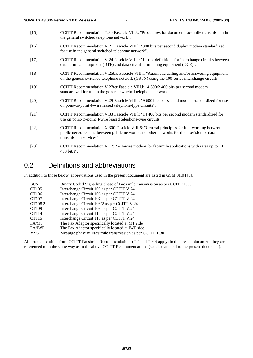- [15] CCITT Recommendation T.30 Fascicle VII.3: "Procedures for document facsimile transmission in the general switched telephone network".
- [16] CCITT Recommendation V.21 Fascicle VIII.l: "300 bits per second duplex modem standardized for use in the general switched telephone network".
- [17] CCITT Recommendation V.24 Fascicle VIII.l: "List of definitions for interchange circuits between data terminal equipment (DTE) and data circuit-terminating equipment (DCE)".
- [18] CCITT Recommendation V.25bis Fascicle VIII.l: "Automatic calling and/or answering equipment on the general switched telephone network (GSTN) using the 100-series interchange circuits".
- [19] CCITT Recommendation V.27ter Fascicle VIII.l: "4 800/2 400 bits per second modem standardized for use in the general switched telephone network".
- [20] CCITT Recommendation V.29 Fascicle VIII.l: "9 600 bits per second modem standardized for use on point-to-point 4-wire leased telephone-type circuits".
- [21] CCITT Recommendation V.33 Fascicle VIII.l: "14 400 bits per second modem standardized for use on point-to-point 4-wire leased telephone-type circuits".
- [22] CCITT Recommendation X.300 Fascicle VIII.6: "General principles for interworking between public networks, and between public networks and other networks for the provision of data transmission services".
- [23] CCITT Recommendation V.17: "A 2-wire modem for facsimile applications with rates up to 14 400 bit/s".

## 0.2 Definitions and abbreviations

In addition to those below, abbreviations used in the present document are listed in GSM 01.04 [1].

| <b>BCS</b>        | Binary Coded Signalling phase of Facsimile transmission as per CCITT T.30 |
|-------------------|---------------------------------------------------------------------------|
| CT <sub>105</sub> | Interchange Circuit 105 as per CCITT V.24                                 |
| CT106             | Interchange Circuit 106 as per CCITT V.24                                 |
| CT107             | Interchange Circuit 107 as per CCITT V.24                                 |
| CT108.2           | Interchange Circuit 108/2 as per CCITT V.24                               |
| CT109             | Interchange Circuit 109 as per CCITT V.24                                 |
| CT114             | Interchange Circuit 114 as per CCITT V.24                                 |
| CT115             | Interchange Circuit 115 as per CCITT V.24                                 |
| FA/MT             | The Fax Adaptor specifically located at MT side                           |
| <b>FA/IWF</b>     | The Fax Adaptor specifically located at IWF side                          |
| <b>MSG</b>        | Message phase of Facsimile transmission as per CCITT T.30                 |

All protocol entities from CCITT Facsimile Recommendations (T.4 and T.30) apply; in the present document they are referenced to in the same way as in the above CCITT Recommendations (see also annex I to the present document).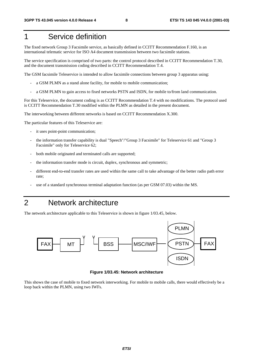## 1 Service definition

The fixed network Group 3 Facsimile service, as basically defined in CCITT Recommendation F.160, is an international telematic service for ISO A4 document transmission between two facsimile stations.

The service specification is comprised of two parts: the control protocol described in CCITT Recommendation T.30, and the document transmission coding described in CCITT Recommendation T.4.

The GSM facsimile Teleservice is intended to allow facsimile connections between group 3 apparatus using:

- a GSM PLMN as a stand alone facility, for mobile to mobile communication;
- a GSM PLMN to gain access to fixed networks PSTN and ISDN, for mobile to/from land communication.

For this Teleservice, the document coding is as CCITT Recommendation T.4 with no modifications. The protocol used is CCITT Recommendation T.30 modified within the PLMN as detailed in the present document.

The interworking between different networks is based on CCITT Recommendation X.300.

The particular features of this Teleservice are:

- it uses point-point communication;
- the information transfer capability is dual "Speech"/"Group 3 Facsimile" for Teleservice 61 and "Group 3 Facsimile" only for Teleservice 62;
- both mobile originated and terminated calls are supported;
- the information transfer mode is circuit, duplex, synchronous and symmetric;
- different end-to-end transfer rates are used within the same call to take advantage of the better radio path error rate;
- use of a standard synchronous terminal adaptation function (as per GSM 07.03) within the MS.

## 2 Network architecture

The network architecture applicable to this Teleservice is shown in figure 1/03.45, below.



**Figure 1/03.45: Network architecture** 

This shows the case of mobile to fixed network interworking. For mobile to mobile calls, there would effectively be a loop back within the PLMN, using two IWFs.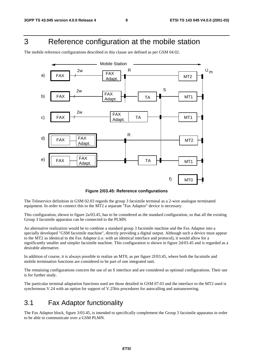## 3 Reference configuration at the mobile station

The mobile reference configurations described in this clause are defined as per GSM 04.02.



**Figure 2/03.45: Reference configurations** 

The Teleservice definition in GSM 02.03 regards the group 3 facsimile terminal as a 2-wire analogue terminated equipment. In order to connect this to the MT2 a separate "Fax Adaptor" device is necessary.

This configuration, shown in figure 2a/03.45, has to be considered as the standard configuration, so that all the existing Group 3 facsimile apparatus can be connected to the PLMN.

An alternative realization would be to combine a standard group 3 facsimile machine and the Fax Adaptor into a specially developed "GSM facsimile machine", directly providing a digital output. Although such a device must appear to the MT2 as identical to the Fax Adaptor (i.e. with an identical interface and protocol), it would allow for a significantly smaller and simpler facsimile machine. This configuration is shown in figure 2d/03.45 and is regarded as a desirable alternative.

In addition of course, it is always possible to realize an MT0, as per figure 2f/03.45, where both the facsimile and mobile termination functions are considered to be part of one integrated unit.

The remaining configurations concern the use of an S interface and are considered as optional configurations. Their use is for further study.

The particular terminal adaptation functions used are those detailed in GSM 07.03 and the interface to the MT2 used is synchronous V.24 with an option for support of V.25bis procedures for autocalling and autoanswering.

## 3.1 Fax Adaptor functionality

The Fax Adaptor block, figure 3/03.45, is intended to specifically complement the Group 3 facsimile apparatus in order to be able to communicate over a GSM PLMN.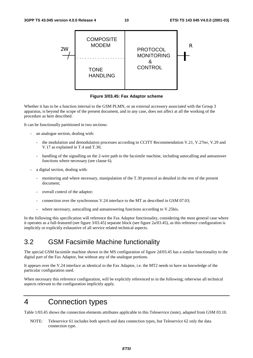

**Figure 3/03.45: Fax Adaptor scheme** 

Whether it has to be a function internal to the GSM PLMN, or an external accessory associated with the Group 3 apparatus, is beyond the scope of the present document, and in any case, does not affect at all the working of the procedure as here described.

It can be functionally partitioned in two sections:

- an analogue section, dealing with:
	- the modulation and demodulation processes according to CCITT Recommendation V.21, V.27ter, V.29 and V.17 as explained in T.4 and T.30;
	- handling of the signalling on the 2-wire path to the facsimile machine, including autocalling and autoanswer functions where necessary (see clause 6).
- a digital section, dealing with:
	- monitoring and where necessary, manipulation of the T.30 protocol as detailed in the rest of the present document;
	- overall control of the adaptor;
	- connection over the synchronous V.24 interface to the MT as described in GSM 07.03;
	- where necessary, autocalling and autoanswering functions according to V.25bis.

In the following this specification will reference the Fax Adaptor functionality, considering the most general case where it operates as a full-featured (see figure 3/03.45) separate block (see figure 2a/03.45), as this reference configuration is implicitly or explicitly exhaustive of all service related technical aspects.

## 3.2 GSM Facsimile Machine functionality

The special GSM facsimile machine shown in the MS configuration of figure 2d/03.45 has a similar functionality to the digital part of the Fax Adaptor, but without any of the analogue portions.

It appears over the V.24 interface as identical to the Fax Adaptor, i.e. the MT2 needs to have no knowledge of the particular configuration used.

When necessary this reference configuration, will be explicitly referenced to in the following; otherwise all technical aspects relevant to the configuration implicitly apply.

## 4 Connection types

Table 1/03.45 shows the connection elements attributes applicable to this Teleservice (note), adapted from GSM 03.10.

NOTE: Teleservice 61 includes both speech and data connection types, but Teleservice 62 only the data connection type.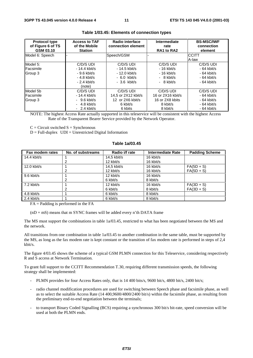| <b>Protocol type</b><br>of Figure 6 of TS<br>GSM 03.10 | <b>Access to TAF</b><br>of the Mobile<br><b>Station</b> | Radio interface<br>connection element | Intermediate<br>rate<br>RA1 to RA2 | <b>BS-MSC/IWF</b><br>connection<br>element |
|--------------------------------------------------------|---------------------------------------------------------|---------------------------------------|------------------------------------|--------------------------------------------|
| Model 6: Speech                                        |                                                         | Speech/GSM                            |                                    | <b>CCITT</b>                               |
|                                                        |                                                         |                                       |                                    | A-law                                      |
| Model 5:                                               | C/D/S UDI                                               | C/D/S UDI                             | C/D/S UDI                          | C/D/S UDI                                  |
| Facsimile                                              | $-14.4$ kbit/s                                          | - 14.5 kbit/s                         | $-16$ kbit/s                       | $-64$ kbit/s                               |
| Group 3                                                | $-9.6$ kbit/s                                           | - 12.0 kbit/s                         | $-16$ kbit/s                       | $-64$ kbit/s                               |
|                                                        | $-4.8$ kbit/s                                           | $-6.0$ kbit/s                         | $-8$ kbit/s                        | $-64$ kbit/s                               |
|                                                        | $-2.4$ kbit/s                                           | $-3.6$ kbit/s                         | $-8$ kbit/s                        | $-64$ kbit/s                               |
|                                                        | (note)                                                  |                                       |                                    |                                            |
| Model 5b                                               | C/D/S UDI                                               | C/D/S UDI                             | C/D/S UDI                          | C/D/S UDI                                  |
| Facsimile                                              | $-14.4$ kbit/s                                          | 14,5 or 2X12 kbit/s                   | 16 or 2X16 kbit/s                  | $-64$ kbit/s                               |
| Group 3                                                | $-9.6$ kbit/s                                           | 12 or 2X6 kbit/s                      | 16 or 2X8 kbits                    | $-64$ kbit/s                               |
|                                                        | $-4.8$ kbit/s                                           | 6 kbit/s                              | 8 kbit/s                           | $-64$ kbit/s                               |
|                                                        | $-2.4$ kbit/s                                           | 6 kbits                               | 8 kbit/s                           | $-64$ kbit/s                               |

### **Table 1/03.45: Elements of connection types**

NOTE: The highest Access Rate actually supported in this teleservice will be consistent with the highest Access Rate of the Transparent Bearer Service provided by the Network Operator.

 $C =$  Circuit switched  $S =$  Synchronous

 $D = Full-duplex$   $UDI = Unrestricted Digital Information$ 

### **Table 1a/03.45**

| Fax modem rates | No. of substreams | Radio i/f rate | <b>Intermediate Rate</b> | <b>Padding Scheme</b> |
|-----------------|-------------------|----------------|--------------------------|-----------------------|
| 14.4 kbit/s     |                   | $14.5$ kbit/s  | 16 kbit/s                |                       |
|                 |                   | 12 kbit/s      | 16 kbit/s                |                       |
| 12.0 kbit/s     |                   | $14.5$ kbit/s  | 16 kbit/s                | $FA(5D + S)$          |
|                 |                   | 12 kbit/s      | 16 kbit/s                | $FA(5D + S)$          |
| 9.6 kbit/s      |                   | 12 kbit/s      | 16 kbit/s                |                       |
|                 | 2                 | 6 kbit/s       | 8 kbit/s                 |                       |
| 7.2 kbit/s      |                   | 12 kbit/s      | 16 kbit/s                | $FA(3D + S)$          |
|                 |                   | 6 kbit/s       | 8 kbit/s                 | $FA(3D + S)$          |
| 4.8 kbit/s      |                   | 6 kbit/s       | 8 kbit/s                 |                       |
| $2.4$ kbit/s    |                   | 6 kbit/s       | 8 kbit/s                 |                       |

 $FA =$  Padding is performed in the  $FA$ 

 $(nD + mS)$  means that m SYNC frames will be added every n'th DATA frame

The MS must support the combinations in table 1a/03.45, restricted to what has been negotiated between the MS and the network.

All transitions from one combination in table 1a/03.45 to another combination in the same table, must be supported by the MS, as long as the fax modem rate is kept constant or the transition of fax modem rate is performed in steps of 2,4 kbit/s.

The figure 4/03.45 shows the scheme of a typical GSM PLMN connection for this Teleservice, considering respectively R and S access at Network Termination.

To grant full support to the CCITT Recommendation T.30, requiring different transmission speeds, the following strategy shall be implemented:

- PLMN provides for four Access Rates only, that is 14 400 bits/s, 9600 bit/s, 4800 bit/s, 2400 bit/s;
- radio channel modification procedures are used for switching between Speech phase and facsimile phase, as well as to select the suitable Access Rate (14 400,9600/4800/2400 bit/s) within the facsimile phase, as resulting from the preliminary end-to-end negotiation between the terminals;
- to transport Binary Coded Signalling (BCS) requiring a synchronous 300 bit/s bit-rate, speed conversion will be used at both the PLMN ends.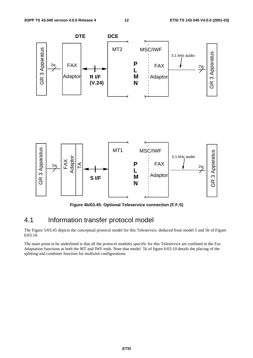

**Figure 4b/03.45: Optional Teleservice connection (F.F.S)** 

## 4.1 Information transfer protocol model

The Figure 5/03.45 depicts the conceptual protocol model for this Teleservice, deduced from model 5 and 5b of Figure 6/03.10.

The main point to be underlined is that all the protocol modules specific for this Teleservice are confined in the Fax Adaptation functions at both the MT and IWF ends. Note that model 5b of figure 6/03.10 details the placing of the splitting and combiner function for multislot configurations.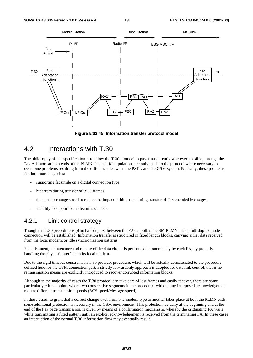

**Figure 5/03.45: Information transfer protocol model** 

## 4.2 Interactions with T.30

The philosophy of this specification is to allow the T.30 protocol to pass transparently wherever possible, through the Fax Adaptors at both ends of the PLMN channel. Manipulations are only made to the protocol where necessary to overcome problems resulting from the differences between the PSTN and the GSM system. Basically, these problems fall into four categories:

- supporting facsimile on a digital connection type;
- bit errors during transfer of BCS frames;
- the need to change speed to reduce the impact of bit errors during transfer of Fax encoded Messages;
- inability to support some features of T.30.

### 4.2.1 Link control strategy

Though the T.30 procedure is plain half-duplex, between the FAs at both the GSM PLMN ends a full-duplex mode connection will be established. Information transfer is structured in fixed length blocks, carrying either data received from the local modem, or idle synchronization patterns.

Establishment, maintenance and release of the data circuit is performed autonomously by each FA, by properly handling the physical interface to its local modem.

Due to the rigid timeout constrains in T.30 protocol procedure, which will be actually concatenated to the procedure defined here for the GSM connection part, a strictly forwardonly approach is adopted for data link control; that is no retransmission means are explicitly introduced to recover corrupted information blocks.

Although in the majority of cases the T.30 protocol can take care of lost frames and easily recover, there are some particularly critical points where two consecutive segments in the procedure, without any interposed acknowledgement, require different transmission speeds (BCS speed/Message speed).

In these cases, to grant that a correct change-over from one modem type to another takes place at both the PLMN ends, some additional protection is necessary in the GSM environment. This protection, actually at the beginning and at the end of the Fax page transmission, is given by means of a confirmation mechanism, whereby the originating FA waits while transmitting a fixed pattern until an explicit acknowledgement is received from the terminating FA. In these cases an interruption of the normal T.30 information flow may eventually result.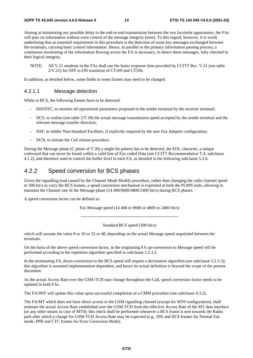Aiming at minimizing any possible delay in the end-to-end transmission between the two facsimile apparatuses, the FAs will pass on information without error control of the message integrity (note). To this regard, however, it is worth underlining that an essential requirement in this procedure is the detection of some key messages exchanged between the terminals, carrying basic control information. Hence, in parallel to the primary information passing process, a continuous monitoring of the information flowing across the FA is necessary, to detect these messages, fully checked in their logical integrity.

NOTE: All V.21 modems in the FAs shall use the faster response time provided by CCITT Rec. V.21 (see table 2/V.21) for OFF to ON transition of CT109 and CT106.

In addition, as detailed below, some fields in some frames may need to be changed.

### 4.2.1.1 Message detection

While in BCS, the following frames have to be detected:

- DIS/DTC, to monitor all operational parameters proposed to the sender terminal by the receiver terminal;
- DCS, to realize (see table  $2/T.30$ ) the actual message transmission speed accepted by the sender terminal and the relevant message transfer direction;
- NSF, to inhibit Non-Standard Facilities, if explicitly required by the user Fax Adaptor configuration;
- DCN, to initiate the Call release procedure.

During the Message phase (C phase of T.30) a single bit pattern has to be detected, the EOL character, a unique codeword that can never be found within a valid line of Fax coded Data (see CCITT Recommendation T.4, subclause 4.1.2), and therefore used to control the buffer level in each FA, as detailed in the following subclause 5.2.6.

## 4.2.2 Speed conversion for BCS phases

Given the signalling load caused by the Channel Mode Modify procedure, rather than changing the radio channel speed to 300 bit/s to carry the BCS frames, a speed conversion mechanism is exploited at both the PLMN ends, allowing to maintain the Channel rate of the Message phase (14 400/9600/4800/2400 bit/s) during BCS phases.

A speed conversion factor can be defined as:

Fax Message speed (14 400 or 9600 or 4800 or 2400 bit/s)

---------------------------------------------------------------------

### Standard BCS speed (300 bit/s)

which will assume the value 8 or 16 or 32 or 48, depending on the actual Message speed negotiated between the terminals.

On the basis of the above speed conversion factor, in the originating FA up-conversion to Message speed will be performed according to the repetition algorithm specified in subclause 5.2.3.2.

In the terminating FA, down-conversion to the BCS speed will require a decimation algorithm (see subclause 5.2.3.3); this algorithm is assumed implementation dependent, and hence its actual definition is beyond the scope of the present document.

As the actual Access Rate over the GSM-TCH may change throughout the Call, speed conversion factor needs to be updated in both FAs.

The FA/IWF will update this value upon successful completion of a CMM procedure (see subclause 4.3.2).

The FA/MT which does not have direct access to the GSM signalling channel (except for MT0 configuration), shall estimate the actual Access Rate established over the GSM-TCH from the effective Access Rate of the MT data interface (or any other means in case of MT0); this check shall be performed whenever a BCS frame is sent towards the Radio path after which a change for GSM-TCH Access Rate may be expected (e.g., DIS and DCS frames for Normal Fax mode, PPR and CTC frames for Error Correction Mode).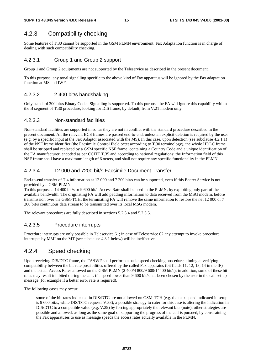## 4.2.3 Compatibility checking

Some features of T.30 cannot be supported in the GSM PLMN environment. Fax Adaptation function is in charge of dealing with such compatibility checking.

### 4.2.3.1 Group 1 and Group 2 support

Group 1 and Group 2 equipments are not supported by the Teleservice as described in the present document.

To this purpose, any tonal signalling specific to the above kind of Fax apparatus will be ignored by the Fax adaptation function at MS and IWF.

### 4.2.3.2 2 400 bit/s handshaking

Only standard 300 bit/s Binary Coded Signalling is supported. To this purpose the FA will ignore this capability within the B segment of T.30 procedure, looking for DIS frame, by default, from V.21 modem only.

### 4.2.3.3 Non-standard facilities

Non-standard facilities are supported in so far they are not in conflict with the standard procedure described in the present document. All the relevant BCS frames are passed end-to-end, unless an explicit deletion is required by the user (e.g. by a specific input at the Fax Adaptor associated with the MS). In this case, upon detection (see subclause 4.2.1.1) of the NSF frame identifier (the Facsimile Control Field octet according to T.30 terminology), the whole HDLC frame shall be stripped and replaced by a GSM specific NSF frame, containing a Country Code and a unique identification of the FA manufacturer, encoded as per CCITT T.35 and according to national regulations; the Information field of this NSF frame shall have a maximum length of 6 octets, and shall not require any specific functionality in the PLMN.

### 4.2.3.4 12 000 and 7200 bit/s Facsimile Document Transfer

End-to-end transfer of T.4 information at 12 000 and 7 200 bit/s can be supported, even if this Bearer Service is not provided by a GSM PLMN.

To this purpose a 14 400 bit/s or 9 600 bit/s Access Rate shall be used in the PLMN, by exploiting only part of the available bandwidth. The originating FA will add padding information to data received from the MSG modem, before transmission over the GSM-TCH; the terminating FA will remove the same information to restore the net 12 000 or 7 200 bit/s continuous data stream to be transmitted over its local MSG modem.

The relevant procedures are fully described in sections 5.2.3.4 and 5.2.3.5.

### 4.2.3.5 Procedure interrupts

Procedure interrupts are only possible in Teleservice 61; in case of Teleservice 62 any attempt to invoke procedure interrupts by MMI on the MT (see subclause 4.3.1 below) will be ineffective.

## 4.2.4 Speed checking

Upon receiving DIS/DTC frame, the FA/IWF shall perform a basic speed checking procedure, aiming at verifying compatibility between the bit-rate possibilities offered by the called Fax apparatus (bit fields 11, 12, 13, 14 in the IF) and the actual Access Rates allowed on the GSM PLMN (2 400/4 800/9 600/14400 bit/s); in addition, some of these bit rates may result inhibited during the call, if a speed lower than 9 600 bit/s has been chosen by the user in the call set up message (for example if a better error rate is required).

The following cases may occur:

some of the bit-rates indicated in DIS/DTC are not allowed on GSM-TCH (e.g. the max speed indicated in setup is 9 600 bit/s, while DIS/DTC requests V.33); a possible strategy to cater for this case is altering the indication in DIS/DTC to a compatible value (e.g. V.29) by forcing appropriately the relevant bits (note); other strategies are possible and allowed, as long as the same goal of supporting the progress of the call is pursued, by constraining the Fax apparatuses to use as message speeds the access rates actually available in the PLMN.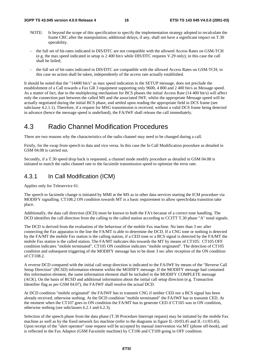- NOTE: Is beyond the scope of this specification to specify the implementation strategy adopted to recalculate the frame CRC after the manipulation; additional delays, if any, shall not have a significant impact on T.30 operability.
- the full set of bit-rates indicated in DIS/DTC are not compatible with the allowed Access Rates on GSM-TCH (e.g. the max speed indicated in setup is 2 400 bit/s while DIS/DTC requests V.29 only); in this case the call shall be failed;
- the full set of bit-rates indicated in DIS/DTC are compatible with the allowed Access Rates on GSM-TCH; in this case no action shall be taken, independently of the access rate actually established.

It should be noted that the "14400 bit/s" as max speed indication in the SETUP message, does not preclude the establishment of a Call towards a Fax GR 3 equipment supporting only 9600, 4 800 and 2 400 bit/s as Message speed. As a matter of fact, due to the multiplexing mechanism for BCS phases the initial Access Rate (14 400 bit/s) will affect only the connection part between the called MS and the associated IWF, whilst the appropriate Message speed will be actually negotiated during the initial BCS phase, and settled upon reading the appropriate field in DCS frame (see subclause 4.2.1.1). Therefore, if a request for MSG transmission is received, without a valid DCS frame being detected in advance (hence the message speed is undefined), the FA/IWF shall release the call immediately.

## 4.3 Radio Channel Modification Procedures

There are two reasons why the characteristics of the radio channel may need to be changed during a call.

Firstly, for the swap from speech to data and vice versa. In this case the In Call Modification procedure as detailed in GSM 04.08 is carried out.

Secondly, if a T.30 speed drop back is requested, a channel mode modify procedure as detailed in GSM 04.08 is initiated to match the radio channel rate to the facsimile transmission speed to optimize the error rate.

## 4.3.1 In Call Modification (ICM)

Applies only for Teleservice 61.

The speech to facsimile change is initiated by MMI at the MS as in other data services starting the ICM procedure via MODIFY signalling. CT108.2 ON condition towards MT is a basic requirement to allow speech/data transition take place.

Additionally, the data call direction (DCD) must be known to both the FA's because of a correct tone handling. The DCD identifies the call direction from the calling to the called station according to CCITT T.30 phase "A" tonal signals.

The DCD is derived from the evaluation of the behaviour of the mobile Fax machine. No later than 3 sec after connecting the Fax apparatus to the line the FA/MT is able to determine the DCD. If a CNG tone or nothing is detected by the FA/MT the mobile Fax station is the calling station, if a CED tone or a BCS signal is detected by the FA/MT the mobile Fax station is the called station. The FA/MT indicates this towards the MT by means of CT105: CT105 OFF condition indicates "mobile terminated", CT105 ON condition indicates "mobile originated". The detection of CT105 condition and subsequent triggering of the MODIFY message has to be done 3 sec after reception of the ON condition of CT108.2.

A reverse DCD compared with the initial call setup direction is indicated to the FA/IWF by means of the "Reverse Call Setup Direction" (RCSD) information element within the MODIFY message. If the MODIFY message had contained this information element, the same information element shall be included in the MODIFY COMPLETE message (ACK). On the basis of RCSD and additional information about the initial call setup direction (e.g. Transaction Identifier flag as per GSM 04.07), the FA/IWF shall resolve the actual DCD.

At DCD condition "mobile originated" the FA/IWF has to transmit CNG if neither CED nor a BCS signal has been already received, otherwise nothing. At the DCD condition "mobile terminated" the FA/IWF has to transmit CED. At the moment when the CT107 goes to ON condition the FA/MT has to generate CED if CT105 was in ON condition, otherwise nothing (see subclauses 6.2.1 and 6.2.3).

Selection of the speech phase from the data phase (T.30 Procedure Interrupt request) may be initiated by the mobile Fax machine as well as by the fixed network fax machine (refer to the diagrams in figure II.-10/03.45 and II.-11/03.45). Upon receipt of the "alert operator" tone request will be accepted by manual intervention via MT (phone off-hook), and is reflected to the Fax Adaptor (GSM Facsimile machine) by CT106 and CT109 going in OFF condition.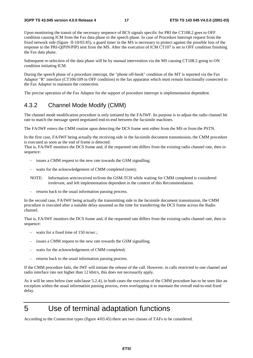Upon monitoring the transit of the necessary sequence of BCS signals specific for PRI the CT108.2 goes to OFF condition causing ICM from the Fax data phase to the speech phase. In case of Procedure Interrupt request from the fixed network side (figure II-10/03.45), a guard timer in the MS is necessary to protect against the possible loss of the response to the PRI-Q(PIN/PIP) sent from the MS. After the execution of ICM CT107 is set to OFF condition finishing the Fax data phase.

Subsequent re-selection of the data phase will be by manual intervention via the MS causing CT108.2 going to ON condition initiating ICM.

During the speech phase of a procedure interrupt, the "phone off-hook" condition of the MT is reported via the Fax Adaptor "R" interface (CT106/109 in OFF condition) to the fax apparatus which must remain functionally connected to the Fax Adaptor to maintain the connection.

The precise operation of the Fax Adaptor for the support of procedure interrupt is implementation dependent.

### 4.3.2 Channel Mode Modify (CMM)

The channel mode modification procedure is only initiated by the FA/IWF. Its purpose is to adjust the radio channel bit rate to match the message speed negotiated end-to-end between the facsimile machines.

The FA/IWF enters the CMM routine upon detecting the DCS frame sent either from the MS or from the PSTN.

In the first case, FA/IWF being actually the receiving side in the facsimile document transmission, the CMM procedure is executed as soon as the end of frame is detected.

That is, FA/IWF monitors the DCS frame and, if the requested rate differs from the existing radio channel rate, then in sequence:

- issues a CMM request to the new rate towards the GSM signalling;
- waits for the acknowledgement of CMM completed (note);
- NOTE: Information sent/received to/from the GSM-TCH while waiting for CMM completed is considered irrelevant, and left implementation dependent in the context of this Recommendation.
- returns back to the usual information passing process.

In the second case, FA/IWF being actually the transmitting side in the facsimile document transmission, the CMM procedure is executed after a suitable delay assumed as the time for transferring the DCS frame across the Radio channel.

That is, FA/IWF monitors the DCS frame and, if the requested rate differs from the existing radio channel rate, then in sequence:

- waits for a fixed time of 150 m/sec.;
- issues a CMM request to the new rate towards the GSM signalling;
- waits for the acknowledgement of CMM completed;
- returns back to the usual information passing process.

If the CMM procedure fails, the IWF will initiate the release of the call. However, in calls restricted to one channel and radio interface rate not higher than 12 kbit/s, this does not necessarily apply.

As it will be seen below (see subclause 5.2.4), in both cases the execution of the CMM procedure has to be seen like an exception within the usual information passing process, even overlapping it to maintain the overall end-to-end fixed delay.

## 5 Use of terminal adaptation functions

According to the Connection types (figure 4/03.45) there are two classes of TAFs to be considered.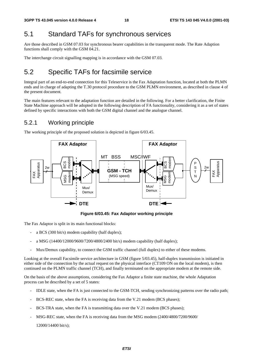## 5.1 Standard TAFs for synchronous services

Are those described in GSM 07.03 for synchronous bearer capabilities in the transparent mode. The Rate Adaption functions shall comply with the GSM 04.21.

The interchange circuit signalling mapping is in accordance with the GSM 07.03.

## 5.2 Specific TAFs for facsimile service

Integral part of an end-to-end connection for this Teleservice is the Fax Adaptation function, located at both the PLMN ends and in charge of adapting the T.30 protocol procedure to the GSM PLMN environment, as described in clause 4 of the present document.

The main features relevant to the adaptation function are detailed in the following. For a better clarification, the Finite State Machine approach will be adopted in the following description of FA functionality, considering it as a set of states defined by specific interactions with both the GSM digital channel and the analogue channel.

## 5.2.1 Working principle

The working principle of the proposed solution is depicted in figure 6/03.45.



**Figure 6/03.45: Fax Adaptor working principle** 

The Fax Adaptor is split in its main functional blocks:

- a BCS (300 bit/s) modem capability (half duplex);
- a MSG (14400/12000/9600/7200/4800/2400 bit/s) modem capability (half duplex);
- Mux/Demux capability, to connect the GSM traffic channel (full duplex) to either of these modems.

Looking at the overall Facsimile service architecture in GSM (figure 5/03.45), half-duplex transmission is initiated in either side of the connection by the actual request on the physical interface (CT109 ON on the local modem), is then continued on the PLMN traffic channel (TCH), and finally terminated on the appropriate modem at the remote side.

On the basis of the above assumptions, considering the Fax Adaptor a finite state machine, the whole Adaptation process can be described by a set of 5 states:

- IDLE state, when the FA is just connected to the GSM-TCH, sending synchronizing patterns over the radio path;
- BCS-REC state, when the FA is receiving data from the V.21 modem (BCS phases);
- BCS-TRA state, when the FA is transmitting data over the V.21 modem (BCS phases);
- MSG-REC state, when the FA is receiving data from the MSG modem (2400/4800/7200/9600/

12000/14400 bit/s);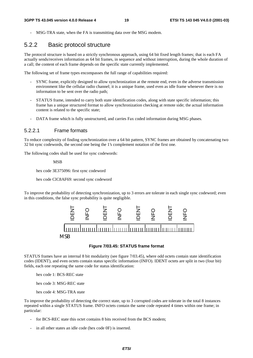MSG-TRA state, when the FA is transmitting data over the MSG modem.

### 5.2.2 Basic protocol structure

The protocol structure is based on a strictly synchronous approach, using 64 bit fixed length frames; that is each FA actually sends/receives information as 64 bit frames, in sequence and without interruption, during the whole duration of a call; the content of each frame depends on the specific state currently implemented.

The following set of frame types encompasses the full range of capabilities required:

- SYNC frame, explicitly designed to allow synchronization at the remote end, even in the adverse transmission environment like the cellular radio channel; it is a unique frame, used even as idle frame whenever there is no information to be sent over the radio path;
- STATUS frame, intended to carry both state identification codes, along with state specific information; this frame has a unique structured format to allow synchronization checking at remote side; the actual information content is related to the specific state;
- DATA frame which is fully unstructured, and carries Fax coded information during MSG phases.

### 5.2.2.1 Frame formats

To reduce complexity of finding synchronization over a 64 bit pattern, SYNC frames are obtained by concatenating two 32 bit sync codewords, the second one being the 1's complement notation of the first one.

The following codes shall be used for sync codewords:

MSB

hex code 3E375096: first sync codeword

hex code ClC8AF69: second sync codeword

To improve the probability of detecting synchronization, up to 3 errors are tolerate in each single sync codeword; even in this conditions, the false sync probability is quite negligible.



### **Figure 7/03.45: STATUS frame format**

STATUS frames have an internal 8 bit modularity (see figure 7/03.45), where odd octets contain state identification codes (IDENT), and even octets contain status specific information (INFO). IDENT octets are split in two (four bit) fields, each one repeating the same code for status identification:

hex code 1: BCS-REC state

hex code 3: MSG-REC state

hex code 4: MSG-TRA state

To improve the probability of detecting the correct state, up to 3 corrupted codes are tolerate in the total 8 instances repeated within a single STATUS frame. INFO octets contain the same code repeated 4 times within one frame; in particular:

- for BCS-REC state this octet contains 8 bits received from the BCS modem;
- in all other states an idle code (hex code 0F) is inserted.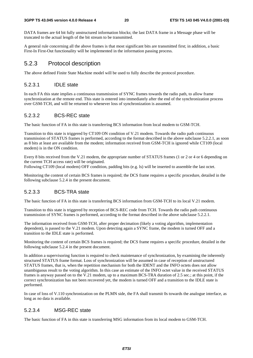DATA frames are 64 bit fully unstructured information blocks; the last DATA frame in a Message phase will be truncated to the actual length of the bit stream to be transmitted.

A general rule concerning all the above frames is that most significant bits are transmitted first; in addition, a basic First-In First-Out functionality will be implemented in the information passing process.

### 5.2.3 Protocol description

The above defined Finite State Machine model will be used to fully describe the protocol procedure.

### 5.2.3.1 IDLE state

In each FA this state implies a continuous transmission of SYNC frames towards the radio path, to allow frame synchronization at the remote end. This state is entered into immediately after the end of the synchronization process over GSM-TCH, and will be returned to whenever loss of synchronization is assumed.

### 5.2.3.2 BCS-REC state

The basic function of FA in this state is transferring BCS information from local modem to GSM-TCH.

Transition to this state is triggered by CT109 ON condition of V.21 modem. Towards the radio path continuous transmission of STATUS frames is performed, according to the format described in the above subclause 5.2.2.1, as soon as 8 bits at least are available from the modem; information received from GSM-TCH is ignored while CT109 (local modem) is in the ON condition.

Every 8 bits received from the V.21 modem, the appropriate number of STATUS frames (1 or 2 or 4 or 6 depending on the current TCH access rate) will be originated.

Following CT109 (local modem) OFF condition, padding bits (e.g. ls) will be inserted to assemble the last octet.

Monitoring the content of certain BCS frames is required; the DCS frame requires a specific procedure, detailed in the following subclause 5.2.4 in the present document.

### 5.2.3.3 BCS-TRA state

The basic function of FA in this state is transferring BCS information from GSM-TCH to its local V.21 modem.

Transition to this state is triggered by reception of BCS-REC code from TCH. Towards the radio path continuous transmission of SYNC frames is performed, according to the format described in the above subclause 5.2.2.1.

The information received from GSM-TCH, after proper decimation (likely a voting algorithm, implementation dependent), is passed to the V.21 modem. Upon detecting again a SYNC frame, the modem is turned OFF and a transition to the IDLE state is performed.

Monitoring the content of certain BCS frames is required; the DCS frame requires a specific procedure, detailed in the following subclause 5.2.4 in the present document.

In addition a supervisoring function is required to check maintenance of synchronization, by examining the inherently structured STATUS frame format. Loss of synchronization will be assumed in case of reception of unstructured STATUS frames, that is, when the repetition mechanism for both the IDENT and the INFO octets does not allow unambiguous result to the voting algorithm. In this case an estimate of the INFO octet value in the received STATUS frames is anyway passed on to the V.21 modem, up to a maximum BCS-TRA duration of 2.5 sec.; at this point, if the correct synchronization has not been recovered yet, the modem is turned OFF and a transition to the IDLE state is performed.

In case of loss of V.110 synchronization on the PLMN side, the FA shall transmit 0s towards the analogue interface, as long as no data is available.

### 5.2.3.4 MSG-REC state

The basic function of FA in this state is transferring MSG information from its local modem to GSM-TCH.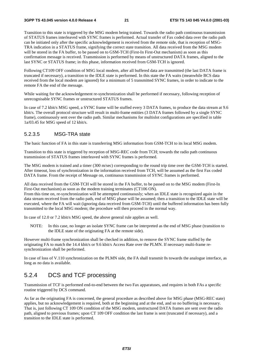Transition to this state is triggered by the MSG modem being trained. Towards the radio path continuous transmission of STATUS frames interleaved with SYNC frames is performed. Actual transfer of Fax coded data over the radio path can be initiated only after the specific acknowledgement is received from the remote side, that is reception of MSG-TRA indication in a STATUS frame, signifying the correct state transition. All data received from the MSG modem will be stored in the FA buffer, to be passed on to GSM-TCH (First-In First-Out mechanism) as soon as this confirmation message is received. Transmission is performed by means of unstructured DATA frames, aligned to the last SYNC or STATUS frame; in this phase, information received from GSM-TCH is ignored.

Following CT109 OFF condition of MSG local modem, after all buffered data are transmitted (the last DATA frame is truncated if necessary), a transition to the IDLE state is performed. In this state the FA waits (meanwhile BCS data received from the local modem are ignored) for a minimum of 5 transmitted SYNC frames, in order to indicate to the remote FA the end of the message.

While waiting for the acknowledgement re-synchronization shall be performed if necessary, following reception of unrecognisable SYNC frames or unstructured STATUS frames.

In case of 7.2 kbit/s MSG speed, a SYNC frame will be stuffed every 3 DATA frames, to produce the data stream at 9.6 kbit/s. The overall protocol structure will result in multi-frame entities (3 DATA frames followed by a single SYNC frame), continuously sent over the radio path. Similar mechanisms for multislot configurations are specified in table 1a/03.45 for MSG speed of 12 kbit/s.

### 5.2.3.5 MSG-TRA state

The basic function of FA in this state is transferring MSG information from GSM-TCH to its local MSG modem.

Transition to this state is triggered by reception of MSG-REC code from TCH; towards the radio path continuous transmission of STATUS frames interleaved with SYNC frames is performed.

The MSG modem is trained and a timer (300 m/sec) corresponding to the round trip time over the GSM-TCH is started. After timeout, loss of synchronization in the information received from TCH, will be assumed as the first Fax coded DATA frame. From the receipt of Message on, continuous transmission of SYNC frames is performed.

All data received from the GSM-TCH will be stored in the FA buffer, to be passed on to the MSG modem (First-In First-Out mechanism) as soon as the modem training terminates (CT106 ON).

From this time on, re-synchronization will be attempted continuously; when an IDLE state is recognized again in the data stream received from the radio path, end of MSG phase will be assumed; then a transition to the IDLE state will be executed, where the FA will wait (ignoring data received from GSM-TCH) until the buffered information has been fully transmitted to the local MSG modem; the procedure will then proceed in the normal way.

In case of 12.0 or 7.2 kbit/s MSG speed, the above general rule applies as well.

NOTE: In this case, no longer an isolate SYNC frame can be interpreted as the end of MSG phase (transition to the IDLE state of the originating FA at the remote side).

However multi-frame synchronization shall be checked in addition, to remove the SYNC frame stuffed by the originating FA to match the 14.4 kbit/s or 9.6 kbit/s Access Rate over the PLMN. If necessary multi-frame resynchronization shall be performed.

In case of loss of V.110 synchronization on the PLMN side, the FA shall transmit 0s towards the analogue interface, as long as no data is available.

## 5.2.4 DCS and TCF processing

Transmission of TCF is performed end-to-end between the two Fax apparatuses, and requires in both FAs a specific routine triggered by DCS command.

As far as the originating FA is concerned, the general procedure as described above for MSG phase (MSG-REC state) applies, but no acknowledgement is required, both at the beginning and at the end, and so no buffering is necessary. That is, just following CT 109 ON condition of the MSG modem, unstructured DATA frames are sent over the radio path, aligned to previous frames; upon CT 109 OFF condition the last frame is sent (truncated if necessary), and a transition to the IDLE state is performed.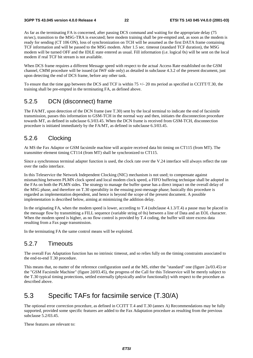As far as the terminating FA is concerned, after passing DCS command and waiting for the appropriate delay (75 m/sec), transition to the MSG-TRA is executed; here modem training shall be pre-empted and, as soon as the modem is ready for sending (CT 106 ON), loss of synchronization on TCH will be assumed as the first DATA frame containing TCF information and will be passed to the MSG modem. After 1.5 sec. timeout (standard TCF duration), the MSG modem will be turned OFF and the IDLE state entered as usual. Fill information (i.e. logical 0s) will be sent on the local modem if real TCF bit stream is not available.

When DCS frame requires a different Message speed with respect to the actual Access Rate established on the GSM channel, CMM procedure will be issued (at IWF side only) as detailed in subclause 4.3.2 of the present document, just upon detecting the end of DCS frame, before any other task.

To ensure that the time gap between the DCS and TCF is within 75  $+/$ - 20 ms period as specified in CCITT/T.30, the training shall be pre-empted in the terminating FA, as defined above.

## 5.2.5 DCN (disconnect) frame

The FA/MT, upon detection of the DCN frame (see T.30) sent by the local terminal to indicate the end of facsimile transmission, passes this information to GSM-TCH in the normal way and then, initiates the disconnection procedure towards MT, as defined in subclause 6.3/03.45. When the DCN frame is received from GSM-TCH, disconnection procedure is initiated immediately by the FA/MT, as defined in subclause 6.3/03.45.

## 5.2.6 Clocking

At MS the Fax Adaptor or GSM facsimile machine will acquire received data bit timing on CT115 (from MT). The transmitter element timing CT114 (from MT) shall be synchronized to CT115.

Since a synchronous terminal adapter function is used, the clock rate over the V.24 interface will always reflect the rate over the radio interface.

In this Teleservice the Network Independent Clocking (NIC) mechanism is not used; to compensate against mismatching between PLMN clock speed and local modem clock speed, a FIFO buffering technique shall be adopted in the FAs on both the PLMN sides. The strategy to manage the buffer queue has a direct impact on the overall delay of the MSG phase, and therefore on T.30 operability in the ensuing post-message phase; basically this procedure is regarded as implementation dependent, and hence is beyond the scope of the present document. A possible implementation is described below, aiming at minimizing the addition delay.

In the originating FA, when the modem speed is lower, according to T.4 (subclause 4.1.3/T.4) a pause may be placed in the message flow by transmitting a FILL sequence (variable string of 0s) between a line of Data and an EOL character. When the modem speed is higher, as no flow control is provided by T.4 coding, the buffer will store excess data resulting from a Fax page transmission.

In the terminating FA the same control means will be exploited.

## 5.2.7 Timeouts

The overall Fax Adaptation function has no intrinsic timeout, and so relies fully on the timing constraints associated to the end-to-end T.30 procedure.

This means that, no matter of the reference configuration used at the MS, either the "standard" one (figure 2a/03.45) or the "GSM Facsimile Machine" (figure 2d/03.45), the progress of the Call for this Teleservice will be merely subject to the T.30 typical timing protections, settled externally (physically and/or functionally) with respect to the procedure as described above.

## 5.3 Specific TAFs for facsimile service (T.30/A)

The optional error correction procedure, as defined in CCITT T.4 and T.30 (annex A) Recommendations may be fully supported, provided some specific features are added to the Fax Adaptation procedure as resulting from the previous subclause 5.2/03.45.

These features are relevant to: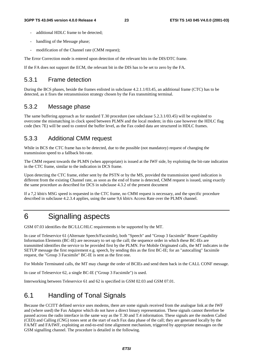- additional HDLC frame to be detected;
- handling of the Message phase;
- modification of the Channel rate (CMM request);

The Error Correction mode is entered upon detection of the relevant bits in the DIS/DTC frame.

If the FA does not support the ECM, the relevant bit in the DIS has to be set to zero by the FA.

### 5.3.1 Frame detection

During the BCS phases, beside the frames enlisted in subclause 4.2.1.1/03.45, an additional frame (CTC) has to be detected, as it fixes the retransmission strategy chosen by the Fax transmitting terminal.

### 5.3.2 Message phase

The same buffering approach as for standard T.30 procedure (see subclause 5.2.3.1/03.45) will be exploited to overcome the mismatching in clock speed between PLMN and the local modem; in this case however the HDLC flag code (hex 7E) will be used to control the buffer level, as the Fax coded data are structured in HDLC frames.

## 5.3.3 Additional CMM request

While in BCS the CTC frame has to be detected, due to the possible (not mandatory) request of changing the transmission speed to a fallback bit-rate.

The CMM request towards the PLMN (when appropriate) is issued at the IWF side, by exploiting the bit-rate indication in the CTC frame, similar to the indication in DCS frame.

Upon detecting the CTC frame, either sent by the PSTN or by the MS, provided the transmission speed indication is different from the existing Channel rate, as soon as the end of frame is detected, CMM request is issued, using exactly the same procedure as described for DCS in subclause 4.3.2 of the present document

If a 7,2 kbit/s MSG speed is requested in the CTC frame, no CMM request is necessary, and the specific procedure described in subclause 4.2.3.4 applies, using the same 9,6 kbit/s Access Rate over the PLMN channel.

## 6 Signalling aspects

GSM 07.03 identifies the BC/LLC/HLC requirements to be supported by the MT.

In case of Teleservice 61 (Alternate Speech/Facsimile), both "Speech" and "Group 3 facsimile" Bearer Capability Information Elements (BC-IE) are necessary to set up the call; the sequence order in which these BC-IEs are transmitted identifies the service to be provided first by the PLMN. For Mobile Originated calls, the MT indicates in the SETUP message the first requirement e.g. speech, by sending this as the first BC-IE; for an "autocalling" facsimile request, the "Group 3 Facsimile" BC-IE is sent as the first one.

For Mobile Terminated calls, the MT may change the order of BCIEs and send them back in the CALL CONF message.

In case of Teleservice 62, a single BC-IE ("Group 3 Facsimile") is used.

Interworking between Teleservice 61 and 62 is specified in GSM 02.03 and GSM 07.01.

## 6.1 Handling of Tonal Signals

Because the CCITT defined service uses modems, there are some signals received from the analogue link at the IWF and (where used) the Fax Adaptor which do not have a direct binary representation. These signals cannot therefore be passed across the radio interface in the same way as the T.30 and T.4 information. These signals are the modem Called (CED) and Calling (CNG) tones sent at the start of each Fax data phase of the call; they are generated locally by the FA/MT and FA/IWF, exploiting an end-to-end time alignment mechanism, triggered by appropriate messages on the GSM signalling channel. The procedure is detailed in the following.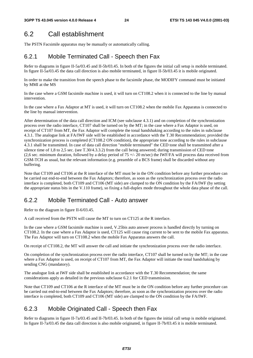## 6.2 Call establishment

The PSTN Facsimile apparatus may be manually or automatically calling.

## 6.2.1 Mobile Terminated Call - Speech then Fax

Refer to diagrams in figure II-5a/03.45 and II-5b/03.45. In both of the figures the initial call setup is mobile terminated. In figure II-5a/03.45 the data call direction is also mobile terminated, in figure II-5b/03.45 it is mobile originated.

In order to make the transition from the speech phase to the facsimile phase, the MODIFY command must be initiated by MMI at the MS

In the case where a GSM facsimile machine is used, it will turn on CT108.2 when it is connected to the line by manual intervention.

In the case where a Fax Adaptor at MT is used, it will turn on CT108.2 when the mobile Fax Apparatus is connected to the line by manual intervention.

After determination of the data call direction and ICM (see subclause 4.3.1) and on completion of the synchronization process over the radio interface, CT107 shall be turned on by the MT; in the case where a Fax Adaptor is used, on receipt of CT107 from MT, the Fax Adaptor will complete the tonal handshaking according to the rules in subclause 4.3.1. The analogue link at FA/IWF side will be established in accordance with the T.30 Recommendation; provided the synchronization process is completed (CT108.2 ON condition), the appropriate tone according to the rules in subclause 4.3.1 shall be transmitted. In case of data call direction "mobile terminated" the CED tone shall be transmitted after a silence time of 1,8 to 2,5 sec. (see T.30/4.3.3.2) from the call being answered; during transmission of CED tone (2,6 sec. minimum duration, followed by a delay period of 75  $+/-$  20 m/sec) the IWF/FA will process data received from GSM-TCH as usual, but the relevant information (e.g. preamble of a BCS frame) shall be discarded without any buffering.

Note that CT109 and CT106 at the R interface of the MT must be in the ON condition before any further procedure can be carried out end-to-end between the Fax Adaptors; therefore, as soon as the synchronization process over the radio interface is completed, both CT109 and CT106 (MT side) are clamped to the ON condition by the FA/IWF (by setting the appropriate status bits in the V.110 frame), so fixing a full-duplex mode throughout the whole data phase of the call.

## 6.2.2 Mobile Terminated Call - Auto answer

Refer to the diagram in figure II-6/03.45.

A call received from the PSTN will cause the MT to turn on CT125 at the R interface.

In the case where a GSM facsimile machine is used, V.25bis auto answer process is handled directly by turning on CT108.2. In the case where a Fax Adaptor is used, CT125 will cause ring current to be sent to the mobile Fax apparatus. The Fax Adaptor will turn on CT108.2 when the mobile Fax Apparatus answers the call.

On receipt of CT108.2, the MT will answer the call and initiate the synchronization process over the radio interface.

On completion of the synchronization process over the radio interface, CT107 shall be turned on by the MT; in the case where a Fax Adaptor is used, on receipt of CT107 from MT, the Fax Adaptor will initiate the tonal handshaking by sending CNG (mandatory).

The analogue link at IWF side shall be established in accordance with the T.30 Recommendation; the same considerations apply as detailed in the previous subclause 6.2.1 for CED transmission.

Note that CT109 and CT106 at the R interface of the MT must be in the ON condition before any further procedure can be carried out end-to-end between the Fax Adaptors; therefore, as soon as the synchronization process over the radio interface is completed, both CT109 and CT106 (MT side) are clamped to the ON condition by the FA/IWF.

## 6.2.3 Mobile Originated Call - Speech then Fax

Refer to diagrams in figure II-7a/03.45 and II-7b/03.45. In both of the figures the initial call setup is mobile originated. In figure II-7a/03.45 the data call direction is also mobile originated, in figure II-7b/03.45 it is mobile terminated.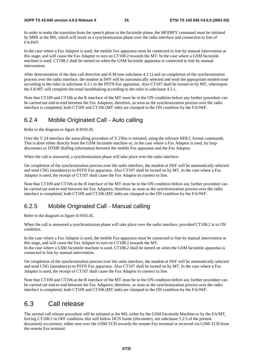In order to make the transition from the speech phase to the facsimile phase, the MODIFY command must be initiated by MMI at the MS, which will result in a synchronization phase over the radio interface and connection to line of FA/IWF.

In the case where a Fax Adaptor is used, the mobile Fax apparatus must be connected to line by manual intervention at this stage, and will cause the Fax Adaptor to turn on CT108.2 towards the MT. In the case where a GSM facsimile machine is used, CT108.2 shall be turned on when the GSM facsimile apparatus is connected to line by manual intervention.

After determination of the data call direction and ICM (see subclause 4.3.1) and on completion of the synchronization process over the radio interface, the modem at IWF will be automatically selected and send the appropriate modem tone according to the rules in subclause 4.3.1 to the PSTN Fax apparatus. Also CT107 shall be turned on by MT, whereupon the FA/MT will complete the tonal handshaking according to the rules in subclause 4.3.1.

Note that CT109 and CT106 at the R interface of the MT must be in the ON condition before any further procedure can be carried out end-to-end between the Fax Adaptors; therefore, as soon as the synchronization process over the radio interface is completed, both CT109 and CT106 (MT side) are clamped to the ON condition by the FA/IWF.

## 6.2.4 Mobile Originated Call - Auto calling

Refer to the diagram in figure II-8/03.45.

Over the V.24 interface the autocalling procedure of V.25bis is initiated, using the relevant HDLC format commands. This is done either directly from the GSM facsimile machine or, in the case where a Fax Adaptor is used, by loop disconnect or DTMF dialling information between the mobile Fax apparatus and the Fax Adaptor.

When the call is answered, a synchronization phase will take place over the radio interface.

On completion of the synchronization process over the radio interface, the modem at IWF will be automatically selected and send CNG (mandatory) to PSTN Fax apparatus. Also CT107 shall be turned on by MT. In the case where a Fax Adaptor is used, the receipt of CT107 shall cause the Fax Adaptor to connect to line.

Note that CT109 and CT106 at the R interface of the MT must be in the ON condition before any further procedure can be carried out end-to-end between the Fax Adaptors; therefore, as soon as the synchronization process over the radio interface is completed, both CT109 and CT106 (MT side) are clamped to the ON condition by the FA/IWF.

## 6.2.5 Mobile Originated Call - Manual calling

Refer to the diagram in figure II-9/03.45.

connected to line by manual intervention.

When the call is answered a synchronization phase will take place over the radio interface, provided CT108.2 is in ON condition.

In the case where a Fax Adaptor is used, the mobile Fax apparatus must be connected to line by manual intervention at this stage, and will cause the Fax Adaptor to turn on CT108.2 towards the MT. In the case where a GSM facsimile machine is used, CT108.2 shall be turned on when the GSM facsimile apparatus is

On completion of the synchronization process over the radio interface, the modem at IWF will be automatically selected and send CNG (mandatory) to PSTN Fax apparatus. Also CT107 shall be turned on by MT. In the case where a Fax Adaptor is used, the receipt of CT107 shall cause the Fax Adaptor to connect to line.

Note that CT109 and CT106 at the R interface of the MT must be in the ON condition before any further procedure can be carried out end-to-end between the Fax Adaptors; therefore, as soon as the synchronization process over the radio interface is completed, both CT109 and CT106 (MT side) are clamped to the ON condition by the FA/IWF.

## 6.3 Call release

The normal call release procedure will be initiated at the MS, either by the GSM Facsimile Machine or by the FA/MT, forcing CT108.2 in OFF condition; this will follow DCN frame (disconnect, see subclause 5.2.5 of the present document) occurrence, either sent over the GSM-TCH towards the remote Fax terminal or received via GSM-TCH from the remote Fax terminal.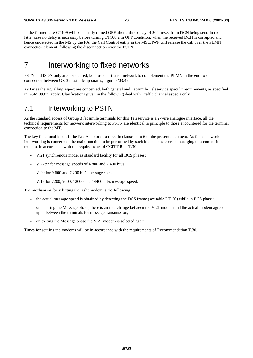In the former case CT109 will be actually turned OFF after a time delay of 200 m/sec from DCN being sent. In the latter case no delay is necessary before turning CT108.2 in OFF condition; when the received DCN is corrupted and hence undetected in the MS by the FA, the Call Control entity in the MSC/IWF will release the call over the PLMN connection element, following the disconnection over the PSTN.

## 7 Interworking to fixed networks

PSTN and ISDN only are considered, both used as transit network to complement the PLMN in the end-to-end connection between GR 3 facsimile apparatus, figure 8/03.45.

As far as the signalling aspect are concerned, both general and Facsimile Teleservice specific requirements, as specified in GSM 09.07, apply. Clarifications given in the following deal with Traffic channel aspects only.

## 7.1 Interworking to PSTN

As the standard access of Group 3 facsimile terminals for this Teleservice is a 2-wire analogue interface, all the technical requirements for network interworking to PSTN are identical in principle to those encountered for the terminal connection to the MT.

The key functional block is the Fax Adaptor described in clauses 4 to 6 of the present document. As far as network interworking is concerned, the main function to be performed by such block is the correct managing of a composite modem, in accordance with the requirements of CCITT Rec. T.30.

- V.21 synchronous mode, as standard facility for all BCS phases;
- V.27ter for message speeds of 4 800 and 2 400 bit/s;
- V.29 for 9 600 and 7 200 bit/s message speed.
- V.17 for 7200, 9600, 12000 and 14400 bit/s message speed.

The mechanism for selecting the right modem is the following:

- the actual message speed is obtained by detecting the DCS frame (see table  $2/T.30$ ) while in BCS phase;
- on entering the Message phase, there is an interchange between the V.21 modem and the actual modem agreed upon between the terminals for message transmission;
- on exiting the Message phase the V.21 modem is selected again.

Times for settling the modems will be in accordance with the requirements of Recommendation T.30.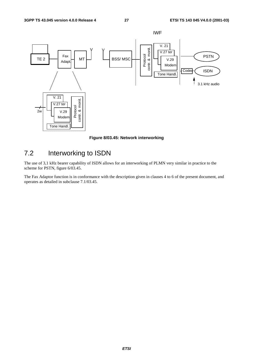

**Figure 8/03.45: Network interworking** 

## 7.2 Interworking to ISDN

The use of 3,1 kHz bearer capability of ISDN allows for an interworking of PLMN very similar in practice to the scheme for PSTN, figure 6/03.45.

The Fax Adaptor function is in conformance with the description given in clauses 4 to 6 of the present document, and operates as detailed in subclause 7.1/03.45.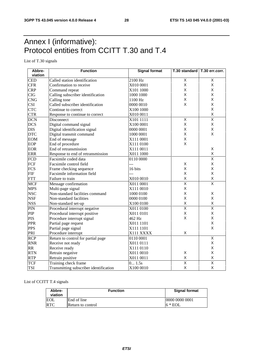## Annex I (informative): Protocol entities from CCITT T.30 and T.4

List of T.30 signals

| Abbre-           | <b>Function</b>                        | <b>Signal format</b><br>T.30 standard   T.30 err.corr. |                         |                         |  |
|------------------|----------------------------------------|--------------------------------------------------------|-------------------------|-------------------------|--|
| viation          |                                        |                                                        |                         |                         |  |
| <b>CED</b>       | Called station identification          | 2100 Hz                                                | $\overline{X}$          | Χ                       |  |
| <b>CFR</b>       | Confirmation to receive                | X010 0001                                              | X                       | X                       |  |
| <b>CRP</b>       | Command repeat                         | X101 1000                                              | X                       | X                       |  |
| <b>CIG</b>       | Calling subscriber identification      | 1000 1000                                              | X                       | X                       |  |
| <b>CNG</b>       | Calling tone                           | 1100 Hz                                                | $\mathsf{X}$            | X                       |  |
| <b>CSI</b>       | Called subscriber identification       | 0000 0010                                              | X                       | X                       |  |
| <b>CTC</b>       | Continue to correct                    | X100 1000                                              |                         | X                       |  |
| <b>CTR</b>       | Response to continue to correct        | X010 0011                                              |                         | X                       |  |
| <b>DCN</b>       | Disconnect                             | X101 1111                                              | $\overline{\mathsf{X}}$ | $\overline{\mathsf{X}}$ |  |
| <b>DCS</b>       | Digital command signal                 | X100 0001                                              | X                       | Χ                       |  |
| <b>DIS</b>       | Digital identification signal          | 0000 0001                                              | X                       | X                       |  |
| <b>DTC</b>       | Digital transmit command               | 1000 0001                                              | X                       | X                       |  |
| <b>EOM</b>       | End of message                         | X111 0001                                              | X                       |                         |  |
| <b>EOP</b>       | End of procedure                       | X111 0100                                              | X                       |                         |  |
| <b>EOR</b>       | End of retransmission                  | X111 0011                                              |                         | Χ                       |  |
| <b>ERR</b>       | Response to end of retransmission      | X011 1000                                              |                         | X                       |  |
| <b>FCD</b>       | Facsimile coded data                   | 0110 0000                                              |                         | $\overline{\mathsf{x}}$ |  |
| FCF              | Facsimile control field                | ---                                                    | X                       | X                       |  |
| <b>FCS</b>       | Frame checking sequence                | 16 bits                                                | X                       | X                       |  |
| <b>FIF</b>       | Facsimile information field            | ---                                                    | X                       | X                       |  |
| <b>FTT</b>       | Failure to train                       | X010 0010                                              | $\mathsf{X}$            | X                       |  |
| <b>MCF</b>       | Message confirmation                   | X011 0001                                              | $\overline{\mathsf{x}}$ | $\overline{\mathsf{x}}$ |  |
| <b>MPS</b>       | Multi-page signal                      | X111 0010                                              | X                       |                         |  |
| <b>NSC</b>       | Non-standard facilities command        | 1000 0100                                              | X                       | X                       |  |
| <b>NSF</b>       | Non-standard facilities                | 0000 0100                                              | X                       | X                       |  |
| <b>NSS</b>       | Non-standard set-up                    | X100 0100                                              | X                       | X                       |  |
| PIN              | Procedural interrupt negative          | X011 0100                                              | $\overline{\mathsf{x}}$ | $\overline{\mathsf{x}}$ |  |
| PIP              | Procedural interrupt positive          | X011 0101                                              | X                       | X                       |  |
| <b>PIS</b>       | Procedure interrupt signal             | 462 Hz                                                 | X                       | X                       |  |
| <b>PPR</b>       | Partial page request                   | X011 1101                                              |                         | X                       |  |
| <b>PPS</b>       | Partial page signal                    | X111 1101                                              |                         | X                       |  |
| PRI              | Procedure interrupt                    | X111 XXXX                                              | X                       |                         |  |
| $\overline{RCP}$ | Return to control for partial page     | 0110 0001                                              |                         | $\overline{\mathsf{x}}$ |  |
| <b>RNR</b>       | Receive not ready                      | X011 0111                                              |                         | X                       |  |
| <b>RR</b>        | Receive ready                          | X111 0110                                              |                         | X                       |  |
| <b>RTN</b>       | Retrain negative                       | X011 0010                                              | X                       | X                       |  |
| <b>RTP</b>       | Retrain positive                       | X011 0011                                              | X                       | X                       |  |
| <b>TCF</b>       | Training check frame                   | 0 1.5s                                                 | $\overline{\mathsf{x}}$ | $\overline{\mathsf{x}}$ |  |
| <b>TSI</b>       | Transmitting subscriber identification | X100 0010                                              | X                       | $\sf X$                 |  |

List of CCITT T.4 signals

| Abbre-<br>viation | <b>Function</b>   | <b>Signal format</b> |
|-------------------|-------------------|----------------------|
| EOL               | End of line       | 0000 0000 0001       |
| <b>RTC</b>        | Return to control | $6 * EOL$            |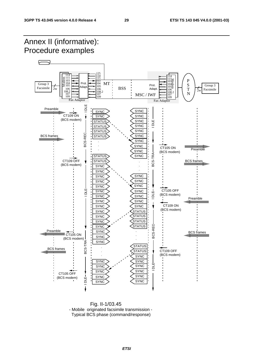

 Fig. II-1/03.45 - Mobile originated facsimile transmission - Typical BCS phase (command/response)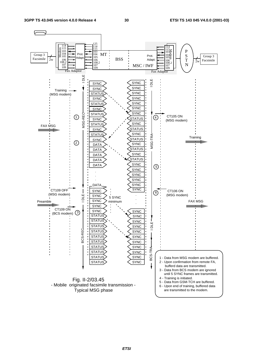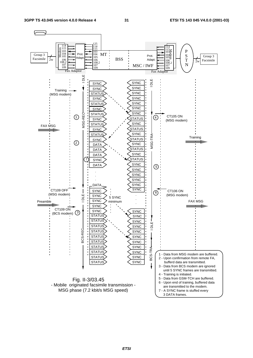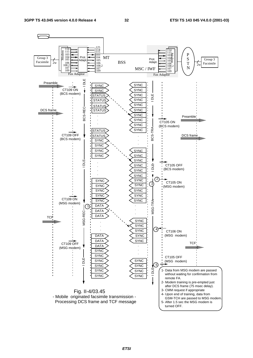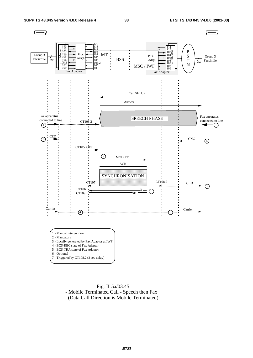

 Fig. II-5a/03.45 - Mobile Terminated Call - Speech then Fax (Data Call Direction is Mobile Terminated)

### **ETSI**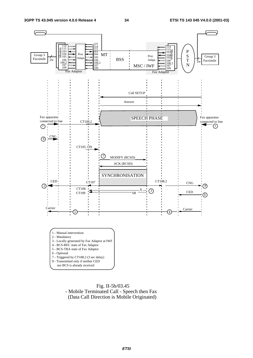

 Fig. II-5b/03.45 - Mobile Terminated Call - Speech then Fax (Data Call Direction is Mobile Originated)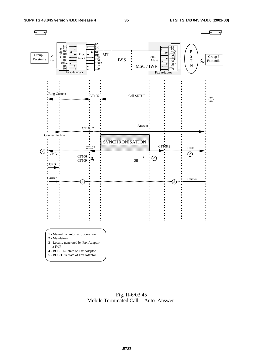

 Fig. II-6/03.45 - Mobile Terminated Call - Auto Answer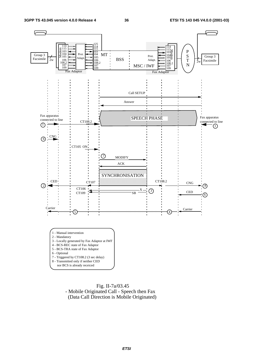

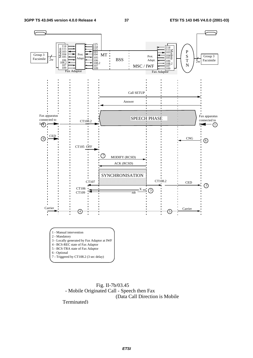

 Fig. II-7b/03.45 - Mobile Originated Call - Speech then Fax (Data Call Direction is Mobile

Terminated)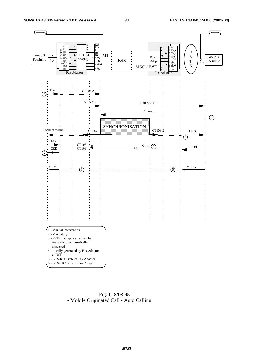

 Fig. II-8/03.45 - Mobile Originated Call - Auto Calling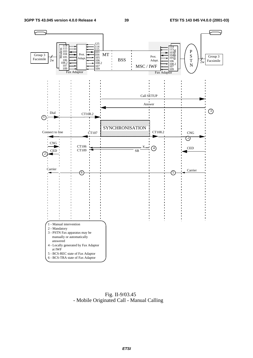

 Fig. II-9/03.45 - Mobile Originated Call - Manual Calling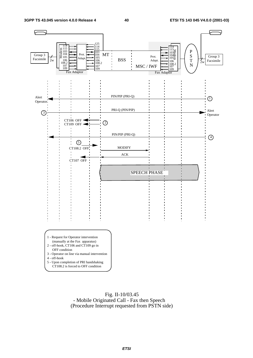

 Fig. II-10/03.45 - Mobile Originated Call - Fax then Speech (Procedure Interrupt requested from PSTN side)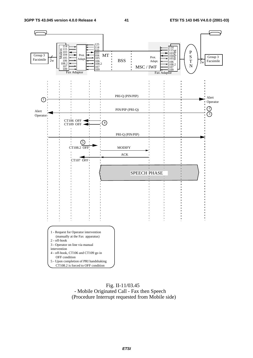

### Fig. II-11/03.45 - Mobile Originated Call - Fax then Speech (Procedure Interrupt requested from Mobile side)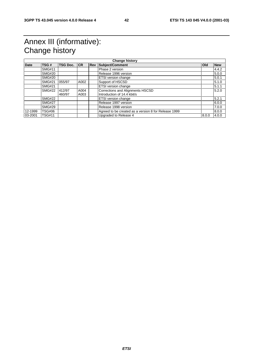## Annex III (informative): Change history

|             | <b>Change history</b> |                 |      |  |                                                      |       |            |
|-------------|-----------------------|-----------------|------|--|------------------------------------------------------|-------|------------|
| <b>Date</b> | TSG#                  | <b>TSG Doc.</b> | CR   |  | <b>Rev Subject/Comment</b>                           | Old   | <b>New</b> |
|             | <b>SMG#11</b>         |                 |      |  | Phase 2 version                                      |       | 4.4.2      |
|             | <b>SMG#20</b>         |                 |      |  | Release 1996 version                                 |       | 5.0.0      |
|             | <b>SMG#20</b>         |                 |      |  | ETSI version change                                  |       | 5.0.1      |
|             | <b>SMG#21</b>         | 055/97          | A002 |  | Support of HSCSD                                     |       | 5.1.0      |
|             | <b>SMG#21</b>         |                 |      |  | ETSI version change                                  |       | 5.1.1      |
|             | <b>SMG#22</b>         | 412/97          | A004 |  | Corrections and Alignments HSCSD                     |       | 5.2.0      |
|             |                       | 460/97          | A003 |  | Introduction of 14.4 kbit/s                          |       |            |
|             | <b>SMG#22</b>         |                 |      |  | ETSI version change                                  |       | 5.2.1      |
|             | <b>SMG#27</b>         |                 |      |  | Release 1997 version                                 |       | 6.0.0      |
|             | <b>SMG#29</b>         |                 |      |  | Release 1998 version                                 |       | 7.0.0      |
| 12-1999     | <b>TSG#06</b>         |                 |      |  | Agreed to be created as a version 8 for Release 1999 |       | 8.0.0      |
| 03-2001     | <b>TSG#11</b>         |                 |      |  | Upgraded to Release 4                                | 8.0.0 | 4.0.0      |